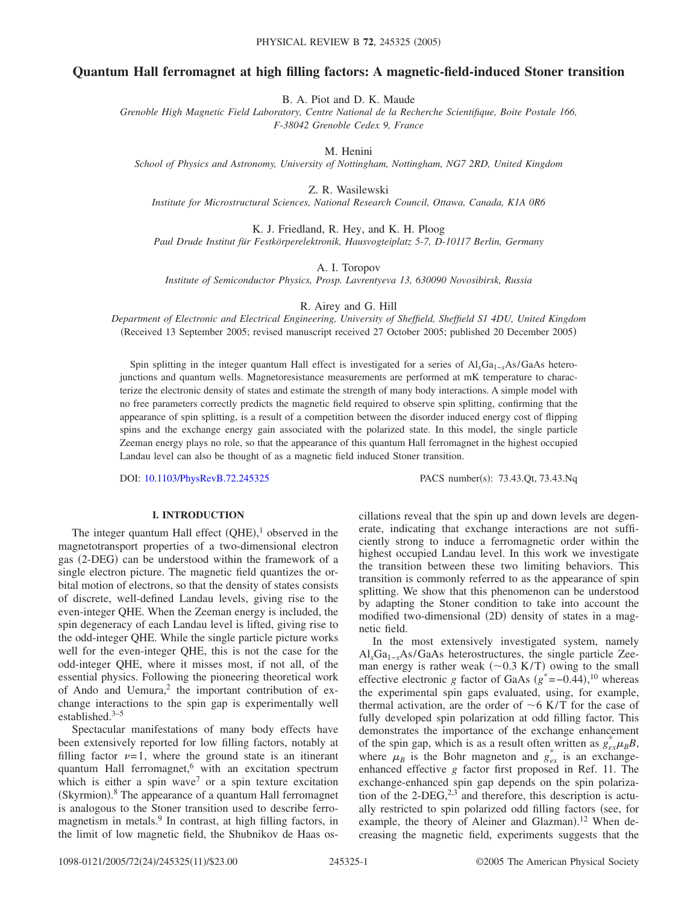# **Quantum Hall ferromagnet at high filling factors: A magnetic-field-induced Stoner transition**

B. A. Piot and D. K. Maude

*Grenoble High Magnetic Field Laboratory, Centre National de la Recherche Scientifique, Boite Postale 166, F-38042 Grenoble Cedex 9, France*

M. Henini

*School of Physics and Astronomy, University of Nottingham, Nottingham, NG7 2RD, United Kingdom*

Z. R. Wasilewski

*Institute for Microstructural Sciences, National Research Council, Ottawa, Canada, K1A 0R6*

K. J. Friedland, R. Hey, and K. H. Ploog *Paul Drude Institut für Festkörperelektronik, Hausvogteiplatz 5-7, D-10117 Berlin, Germany*

A. I. Toropov

*Institute of Semiconductor Physics, Prosp. Lavrentyeva 13, 630090 Novosibirsk, Russia*

R. Airey and G. Hill

*Department of Electronic and Electrical Engineering, University of Sheffield, Sheffield S1 4DU, United Kingdom* (Received 13 September 2005; revised manuscript received 27 October 2005; published 20 December 2005)

Spin splitting in the integer quantum Hall effect is investigated for a series of Al<sub>x</sub>Ga<sub>1−*x*</sub>As/GaAs heterojunctions and quantum wells. Magnetoresistance measurements are performed at mK temperature to characterize the electronic density of states and estimate the strength of many body interactions. A simple model with no free parameters correctly predicts the magnetic field required to observe spin splitting, confirming that the appearance of spin splitting, is a result of a competition between the disorder induced energy cost of flipping spins and the exchange energy gain associated with the polarized state. In this model, the single particle Zeeman energy plays no role, so that the appearance of this quantum Hall ferromagnet in the highest occupied Landau level can also be thought of as a magnetic field induced Stoner transition.

DOI: [10.1103/PhysRevB.72.245325](http://dx.doi.org/10.1103/PhysRevB.72.245325)

PACS number(s): 73.43.Qt, 73.43.Nq

## **I. INTRODUCTION**

The integer quantum Hall effect  $(QHE)$ ,<sup>1</sup> observed in the magnetotransport properties of a two-dimensional electron gas (2-DEG) can be understood within the framework of a single electron picture. The magnetic field quantizes the orbital motion of electrons, so that the density of states consists of discrete, well-defined Landau levels, giving rise to the even-integer QHE. When the Zeeman energy is included, the spin degeneracy of each Landau level is lifted, giving rise to the odd-integer QHE. While the single particle picture works well for the even-integer QHE, this is not the case for the odd-integer QHE, where it misses most, if not all, of the essential physics. Following the pioneering theoretical work of Ando and Uemura, $2$  the important contribution of exchange interactions to the spin gap is experimentally well established.3–5

Spectacular manifestations of many body effects have been extensively reported for low filling factors, notably at filling factor  $\nu=1$ , where the ground state is an itinerant quantum Hall ferromagnet,<sup>6</sup> with an excitation spectrum which is either a spin wave<sup>7</sup> or a spin texture excitation (Skyrmion).<sup>8</sup> The appearance of a quantum Hall ferromagnet is analogous to the Stoner transition used to describe ferromagnetism in metals.9 In contrast, at high filling factors, in the limit of low magnetic field, the Shubnikov de Haas oscillations reveal that the spin up and down levels are degenerate, indicating that exchange interactions are not sufficiently strong to induce a ferromagnetic order within the highest occupied Landau level. In this work we investigate the transition between these two limiting behaviors. This transition is commonly referred to as the appearance of spin splitting. We show that this phenomenon can be understood by adapting the Stoner condition to take into account the modified two-dimensional (2D) density of states in a magnetic field.

In the most extensively investigated system, namely Al*x*Ga1−*x*As/GaAs heterostructures, the single particle Zeeman energy is rather weak  $(\sim 0.3 \text{ K/T})$  owing to the small effective electronic *g* factor of GaAs  $(g^* = -0.44),^{10}$  whereas the experimental spin gaps evaluated, using, for example, thermal activation, are the order of  $\sim$  6 K/T for the case of fully developed spin polarization at odd filling factor. This demonstrates the importance of the exchange enhancement of the spin gap, which is as a result often written as  $g_{ex}^{*}\mu_{B}B$ , where  $\mu_B$  is the Bohr magneton and  $g_{ex}^*$  is an exchangeenhanced effective *g* factor first proposed in Ref. 11. The exchange-enhanced spin gap depends on the spin polarization of the 2-DEG, $2,3$  and therefore, this description is actually restricted to spin polarized odd filling factors (see, for example, the theory of Aleiner and Glazman).<sup>12</sup> When decreasing the magnetic field, experiments suggests that the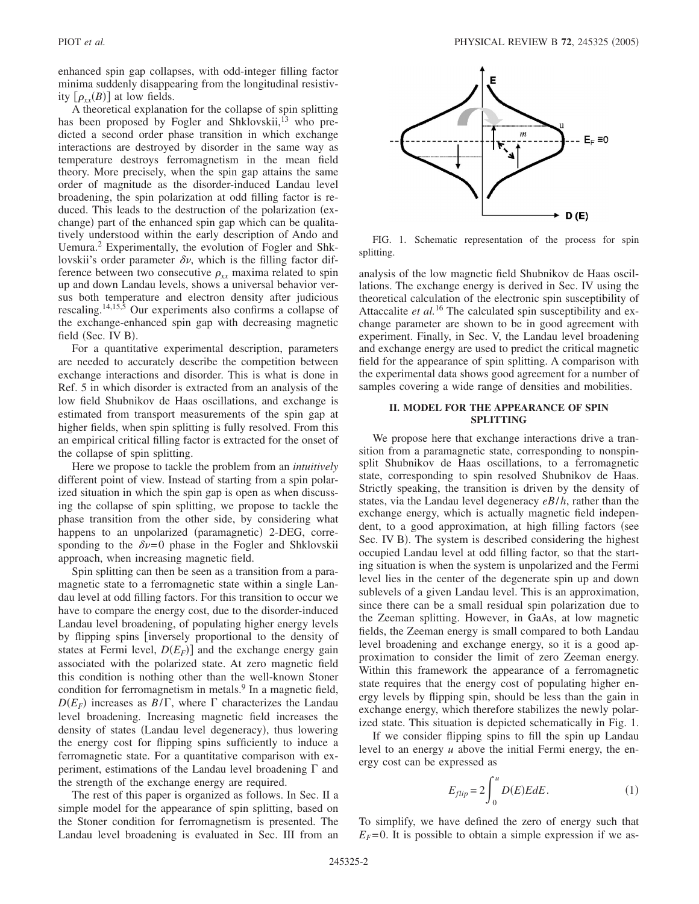enhanced spin gap collapses, with odd-integer filling factor minima suddenly disappearing from the longitudinal resistivity  $[\rho_{xx}(B)]$  at low fields.

A theoretical explanation for the collapse of spin splitting has been proposed by Fogler and Shklovskii,<sup>13</sup> who predicted a second order phase transition in which exchange interactions are destroyed by disorder in the same way as temperature destroys ferromagnetism in the mean field theory. More precisely, when the spin gap attains the same order of magnitude as the disorder-induced Landau level broadening, the spin polarization at odd filling factor is reduced. This leads to the destruction of the polarization (exchange) part of the enhanced spin gap which can be qualitatively understood within the early description of Ando and Uemura.2 Experimentally, the evolution of Fogler and Shklovskii's order parameter  $\delta v$ , which is the filling factor difference between two consecutive  $\rho_{xx}$  maxima related to spin up and down Landau levels, shows a universal behavior versus both temperature and electron density after judicious rescaling.14,15,5 Our experiments also confirms a collapse of the exchange-enhanced spin gap with decreasing magnetic field (Sec. IV B).

For a quantitative experimental description, parameters are needed to accurately describe the competition between exchange interactions and disorder. This is what is done in Ref. 5 in which disorder is extracted from an analysis of the low field Shubnikov de Haas oscillations, and exchange is estimated from transport measurements of the spin gap at higher fields, when spin splitting is fully resolved. From this an empirical critical filling factor is extracted for the onset of the collapse of spin splitting.

Here we propose to tackle the problem from an *intuitively* different point of view. Instead of starting from a spin polarized situation in which the spin gap is open as when discussing the collapse of spin splitting, we propose to tackle the phase transition from the other side, by considering what happens to an unpolarized (paramagnetic) 2-DEG, corresponding to the  $\delta v = 0$  phase in the Fogler and Shklovskii approach, when increasing magnetic field.

Spin splitting can then be seen as a transition from a paramagnetic state to a ferromagnetic state within a single Landau level at odd filling factors. For this transition to occur we have to compare the energy cost, due to the disorder-induced Landau level broadening, of populating higher energy levels by flipping spins *s* inversely proportional to the density of states at Fermi level,  $D(E_F)$  and the exchange energy gain associated with the polarized state. At zero magnetic field this condition is nothing other than the well-known Stoner condition for ferromagnetism in metals. $9$  In a magnetic field,  $D(E_F)$  increases as  $B/\Gamma$ , where  $\Gamma$  characterizes the Landau level broadening. Increasing magnetic field increases the density of states (Landau level degeneracy), thus lowering the energy cost for flipping spins sufficiently to induce a ferromagnetic state. For a quantitative comparison with experiment, estimations of the Landau level broadening  $\Gamma$  and the strength of the exchange energy are required.

The rest of this paper is organized as follows. In Sec. II a simple model for the appearance of spin splitting, based on the Stoner condition for ferromagnetism is presented. The Landau level broadening is evaluated in Sec. III from an



FIG. 1. Schematic representation of the process for spin splitting.

analysis of the low magnetic field Shubnikov de Haas oscillations. The exchange energy is derived in Sec. IV using the theoretical calculation of the electronic spin susceptibility of Attaccalite *et al.*<sup>16</sup> The calculated spin susceptibility and exchange parameter are shown to be in good agreement with experiment. Finally, in Sec. V, the Landau level broadening and exchange energy are used to predict the critical magnetic field for the appearance of spin splitting. A comparison with the experimental data shows good agreement for a number of samples covering a wide range of densities and mobilities.

# **II. MODEL FOR THE APPEARANCE OF SPIN SPLITTING**

We propose here that exchange interactions drive a transition from a paramagnetic state, corresponding to nonspinsplit Shubnikov de Haas oscillations, to a ferromagnetic state, corresponding to spin resolved Shubnikov de Haas. Strictly speaking, the transition is driven by the density of states, via the Landau level degeneracy *eB*/*h*, rather than the exchange energy, which is actually magnetic field independent, to a good approximation, at high filling factors (see Sec. IV B). The system is described considering the highest occupied Landau level at odd filling factor, so that the starting situation is when the system is unpolarized and the Fermi level lies in the center of the degenerate spin up and down sublevels of a given Landau level. This is an approximation, since there can be a small residual spin polarization due to the Zeeman splitting. However, in GaAs, at low magnetic fields, the Zeeman energy is small compared to both Landau level broadening and exchange energy, so it is a good approximation to consider the limit of zero Zeeman energy. Within this framework the appearance of a ferromagnetic state requires that the energy cost of populating higher energy levels by flipping spin, should be less than the gain in exchange energy, which therefore stabilizes the newly polarized state. This situation is depicted schematically in Fig. 1.

If we consider flipping spins to fill the spin up Landau level to an energy *u* above the initial Fermi energy, the energy cost can be expressed as

$$
E_{flip} = 2 \int_0^u D(E) E dE.
$$
 (1)

To simplify, we have defined the zero of energy such that  $E_F$ =0. It is possible to obtain a simple expression if we as-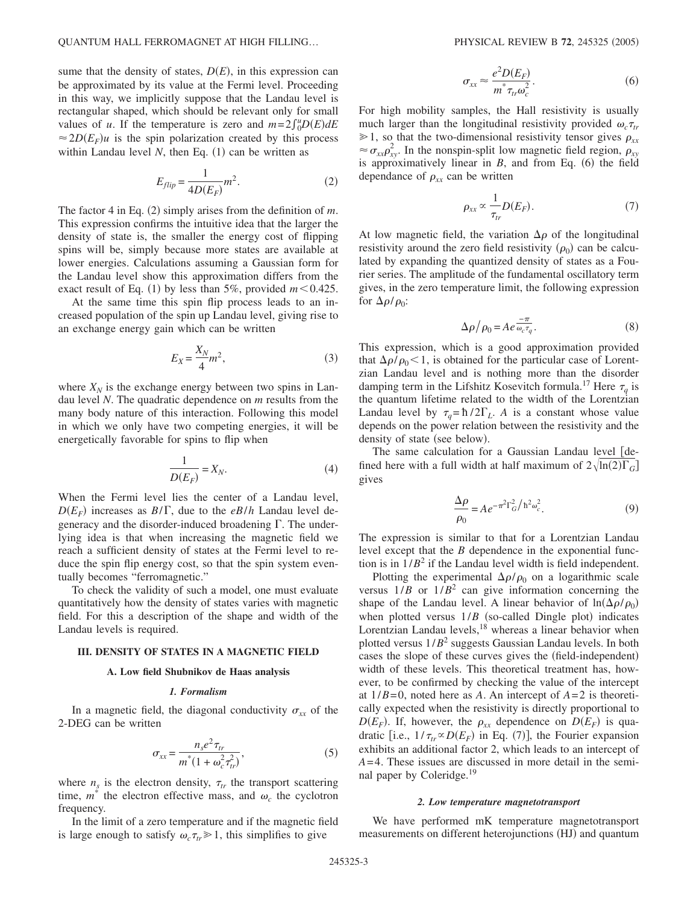sume that the density of states,  $D(E)$ , in this expression can be approximated by its value at the Fermi level. Proceeding in this way, we implicitly suppose that the Landau level is rectangular shaped, which should be relevant only for small values of *u*. If the temperature is zero and  $m=2\int_0^u D(E)dE$  $\approx$  2*D*(*E<sub>F</sub>*)*u* is the spin polarization created by this process within Landau level  $N$ , then Eq.  $(1)$  can be written as

$$
E_{flip} = \frac{1}{4D(E_F)}m^2.
$$
 (2)

The factor 4 in Eq.  $(2)$  simply arises from the definition of *m*. This expression confirms the intuitive idea that the larger the density of state is, the smaller the energy cost of flipping spins will be, simply because more states are available at lower energies. Calculations assuming a Gaussian form for the Landau level show this approximation differs from the exact result of Eq. (1) by less than 5%, provided  $m< 0.425$ .

At the same time this spin flip process leads to an increased population of the spin up Landau level, giving rise to an exchange energy gain which can be written

$$
E_X = \frac{X_N}{4} m^2,\tag{3}
$$

where  $X_N$  is the exchange energy between two spins in Landau level *N*. The quadratic dependence on *m* results from the many body nature of this interaction. Following this model in which we only have two competing energies, it will be energetically favorable for spins to flip when

$$
\frac{1}{D(E_F)} = X_N.
$$
\n(4)

When the Fermi level lies the center of a Landau level,  $D(E_F)$  increases as  $B/\Gamma$ , due to the *eB/h* Landau level degeneracy and the disorder-induced broadening  $\Gamma$ . The underlying idea is that when increasing the magnetic field we reach a sufficient density of states at the Fermi level to reduce the spin flip energy cost, so that the spin system eventually becomes "ferromagnetic."

To check the validity of such a model, one must evaluate quantitatively how the density of states varies with magnetic field. For this a description of the shape and width of the Landau levels is required.

# **III. DENSITY OF STATES IN A MAGNETIC FIELD**

## **A. Low field Shubnikov de Haas analysis**

#### *1. Formalism*

In a magnetic field, the diagonal conductivity  $\sigma_{xx}$  of the 2-DEG can be written

$$
\sigma_{xx} = \frac{n_s e^2 \tau_{tr}}{m^*(1 + \omega_c^2 \tau_{tr}^2)},
$$
\n(5)

where  $n<sub>s</sub>$  is the electron density,  $\tau<sub>tr</sub>$  the transport scattering time,  $m^*$  the electron effective mass, and  $\omega_c$  the cyclotron frequency.

$$
\sigma_{xx} \approx \frac{e^2 D(E_F)}{m^* \tau_{tr} \omega_c^2}.
$$
\n(6)

For high mobility samples, the Hall resistivity is usually much larger than the longitudinal resistivity provided  $\omega_c \tau_{tr}$  $\geq 1$ , so that the two-dimensional resistivity tensor gives  $\rho_{xx}$  $\approx \sigma_{xx} \rho_{xy}^2$ . In the nonspin-split low magnetic field region,  $\rho_{xy}$ is approximatively linear in  $B$ , and from Eq. (6) the field dependance of  $\rho_{xx}$  can be written

$$
\rho_{xx} \propto \frac{1}{\tau_{tr}} D(E_F). \tag{7}
$$

At low magnetic field, the variation  $\Delta \rho$  of the longitudinal resistivity around the zero field resistivity  $(\rho_0)$  can be calculated by expanding the quantized density of states as a Fourier series. The amplitude of the fundamental oscillatory term gives, in the zero temperature limit, the following expression for  $\Delta\rho/\rho_0$ :

$$
\Delta \rho / \rho_0 = A e^{\frac{-\pi}{\omega_c \tau_q}}.
$$
\n(8)

This expression, which is a good approximation provided that  $\Delta \rho / \rho_0$  < 1, is obtained for the particular case of Lorentzian Landau level and is nothing more than the disorder damping term in the Lifshitz Kosevitch formula.<sup>17</sup> Here  $\tau_a$  is the quantum lifetime related to the width of the Lorentzian Landau level by  $\tau_q = \hbar / 2\Gamma_L$ . *A* is a constant whose value depends on the power relation between the resistivity and the density of state (see below).

The same calculation for a Gaussian Landau level [defined here with a full width at half maximum of  $2\sqrt{\ln(2)\Gamma_G}$ gives

$$
\frac{\Delta \rho}{\rho_0} = A e^{-\pi^2 \Gamma_G^2 / \hbar^2 \omega_c^2}.
$$
\n(9)

The expression is similar to that for a Lorentzian Landau level except that the *B* dependence in the exponential function is in  $1/B^2$  if the Landau level width is field independent.

Plotting the experimental  $\Delta \rho / \rho_0$  on a logarithmic scale versus  $1/B$  or  $1/B<sup>2</sup>$  can give information concerning the shape of the Landau level. A linear behavior of  $\ln(\Delta \rho / \rho_0)$ when plotted versus  $1/B$  (so-called Dingle plot) indicates Lorentzian Landau levels,<sup>18</sup> whereas a linear behavior when plotted versus  $1/B^2$  suggests Gaussian Landau levels. In both cases the slope of these curves gives the (field-independent) width of these levels. This theoretical treatment has, however, to be confirmed by checking the value of the intercept at  $1/B=0$ , noted here as *A*. An intercept of  $A=2$  is theoretically expected when the resistivity is directly proportional to  $D(E_F)$ . If, however, the  $\rho_{xx}$  dependence on  $D(E_F)$  is quadratic [i.e.,  $1/\tau_{tr} \propto D(E_F)$  in Eq. (7)], the Fourier expansion exhibits an additional factor 2, which leads to an intercept of *A*=4. These issues are discussed in more detail in the seminal paper by Coleridge.<sup>19</sup>

#### *2. Low temperature magnetotransport*

We have performed mK temperature magnetotransport measurements on different heterojunctions (HJ) and quantum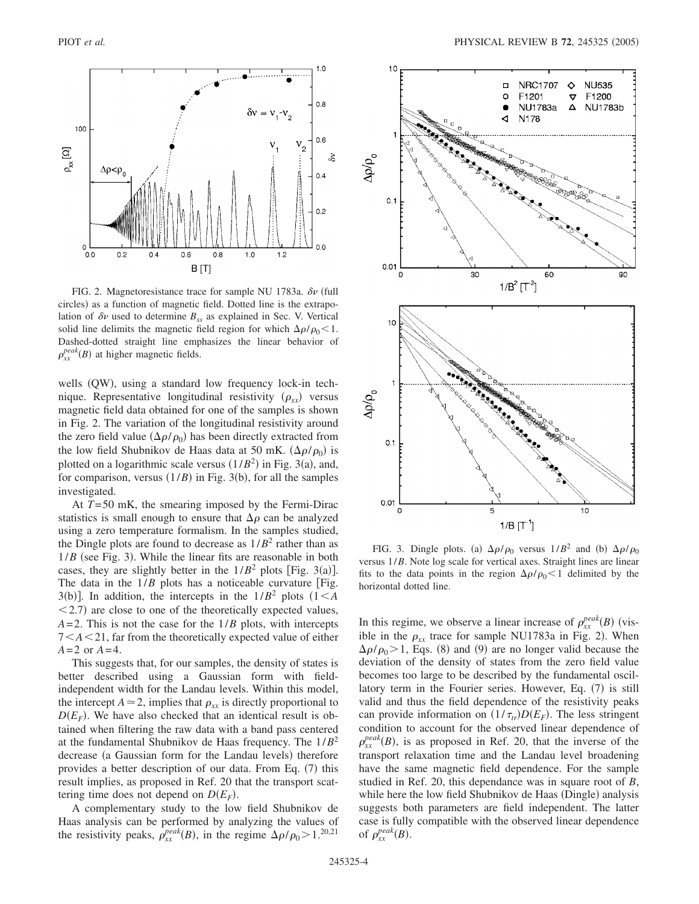

FIG. 2. Magnetoresistance trace for sample NU 1783a.  $\delta \nu$  (full circles) as a function of magnetic field. Dotted line is the extrapolation of  $\delta v$  used to determine  $B_{ss}$  as explained in Sec. V. Vertical solid line delimits the magnetic field region for which  $\Delta \rho / \rho_0$  < 1. Dashed-dotted straight line emphasizes the linear behavior of  $\rho_{xx}^{peak}(B)$  at higher magnetic fields.

wells (QW), using a standard low frequency lock-in technique. Representative longitudinal resistivity  $(\rho_{xx})$  versus magnetic field data obtained for one of the samples is shown in Fig. 2. The variation of the longitudinal resistivity around the zero field value  $(\Delta \rho / \rho_0)$  has been directly extracted from the low field Shubnikov de Haas data at 50 mK.  $(\Delta \rho / \rho_0)$  is plotted on a logarithmic scale versus  $(1/B^2)$  in Fig. 3(a), and, for comparison, versus  $(1/B)$  in Fig. 3(b), for all the samples investigated.

At *T*=50 mK, the smearing imposed by the Fermi-Dirac statistics is small enough to ensure that  $\Delta \rho$  can be analyzed using a zero temperature formalism. In the samples studied, the Dingle plots are found to decrease as  $1/B^2$  rather than as  $1/B$  (see Fig. 3). While the linear fits are reasonable in both cases, they are slightly better in the  $1/B^2$  plots [Fig. 3(a)]. The data in the  $1/B$  plots has a noticeable curvature [Fig. 3(b)]. In addition, the intercepts in the  $1/B^2$  plots  $(1 < A$  $<$  2.7) are close to one of the theoretically expected values,  $A=2$ . This is not the case for the  $1/B$  plots, with intercepts 7*A*21, far from the theoretically expected value of either  $A = 2$  or  $A = 4$ .

This suggests that, for our samples, the density of states is better described using a Gaussian form with fieldindependent width for the Landau levels. Within this model, the intercept  $A \approx 2$ , implies that  $\rho_{xx}$  is directly proportional to  $D(E_F)$ . We have also checked that an identical result is obtained when filtering the raw data with a band pass centered at the fundamental Shubnikov de Haas frequency. The 1/*B*<sup>2</sup> decrease (a Gaussian form for the Landau levels) therefore provides a better description of our data. From Eq. (7) this result implies, as proposed in Ref. 20 that the transport scattering time does not depend on  $D(E_F)$ .

A complementary study to the low field Shubnikov de Haas analysis can be performed by analyzing the values of the resistivity peaks,  $\rho_{xx}^{peak}(B)$ , in the regime  $\Delta \rho / \rho_0 > 1$ .<sup>20,21</sup>



FIG. 3. Dingle plots. (a)  $\Delta \rho / \rho_0$  versus  $1/B^2$  and (b)  $\Delta \rho / \rho_0$ versus 1/*B*. Note log scale for vertical axes. Straight lines are linear fits to the data points in the region  $\Delta \rho / \rho_0 < 1$  delimited by the horizontal dotted line.

In this regime, we observe a linear increase of  $\rho_{xx}^{peak}(B)$  (visible in the  $\rho_{xx}$  trace for sample NU1783a in Fig. 2). When  $\Delta \rho / \rho_0$  > 1, Eqs. (8) and (9) are no longer valid because the deviation of the density of states from the zero field value becomes too large to be described by the fundamental oscillatory term in the Fourier series. However, Eq. (7) is still valid and thus the field dependence of the resistivity peaks can provide information on  $(1/\tau_{tr})D(E_F)$ . The less stringent condition to account for the observed linear dependence of  $\rho_{xx}^{peak}(B)$ , is as proposed in Ref. 20, that the inverse of the transport relaxation time and the Landau level broadening have the same magnetic field dependence. For the sample studied in Ref. 20, this dependance was in square root of *B*, while here the low field Shubnikov de Haas (Dingle) analysis suggests both parameters are field independent. The latter case is fully compatible with the observed linear dependence of  $\rho_{xx}^{peak}(B)$ .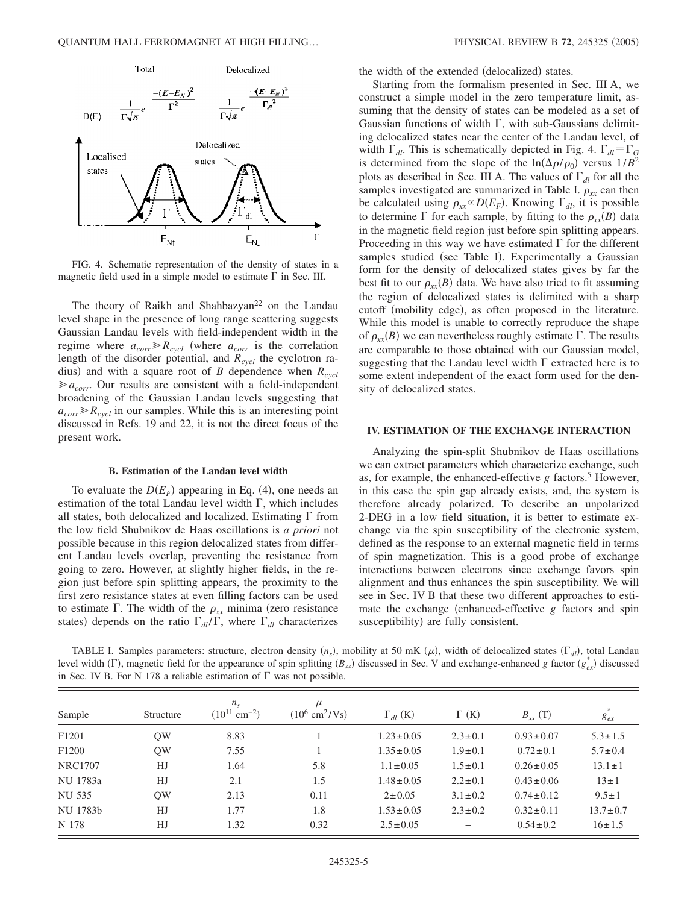

FIG. 4. Schematic representation of the density of states in a magnetic field used in a simple model to estimate  $\Gamma$  in Sec. III.

The theory of Raikh and Shahbazyan<sup>22</sup> on the Landau level shape in the presence of long range scattering suggests Gaussian Landau levels with field-independent width in the regime where  $a_{corr} \ge R_{cycl}$  (where  $a_{corr}$  is the correlation length of the disorder potential, and  $R_{cycl}$  the cyclotron radius) and with a square root of *B* dependence when  $R_{cycl}$  $\ge a_{corr}$ . Our results are consistent with a field-independent broadening of the Gaussian Landau levels suggesting that  $a_{corr} \ge R_{cycl}$  in our samples. While this is an interesting point discussed in Refs. 19 and 22, it is not the direct focus of the present work.

# **B. Estimation of the Landau level width**

To evaluate the  $D(E_F)$  appearing in Eq. (4), one needs an estimation of the total Landau level width  $\Gamma$ , which includes all states, both delocalized and localized. Estimating  $\Gamma$  from the low field Shubnikov de Haas oscillations is *a priori* not possible because in this region delocalized states from different Landau levels overlap, preventing the resistance from going to zero. However, at slightly higher fields, in the region just before spin splitting appears, the proximity to the first zero resistance states at even filling factors can be used to estimate  $\Gamma$ . The width of the  $\rho_{xx}$  minima (zero resistance states) depends on the ratio  $\Gamma_{dl}/\Gamma$ , where  $\Gamma_{dl}$  characterizes

the width of the extended (delocalized) states.

Starting from the formalism presented in Sec. III A, we construct a simple model in the zero temperature limit, assuming that the density of states can be modeled as a set of Gaussian functions of width  $\Gamma$ , with sub-Gaussians delimiting delocalized states near the center of the Landau level, of width  $\Gamma_{dl}$ . This is schematically depicted in Fig. 4.  $\Gamma_{dl} \equiv \Gamma_G$ is determined from the slope of the  $\ln(\Delta \rho / \rho_0)$  versus  $1/B^2$ plots as described in Sec. III A. The values of  $\Gamma_{dl}$  for all the samples investigated are summarized in Table I.  $\rho_{xx}$  can then be calculated using  $\rho_{xx} \propto D(E_F)$ . Knowing  $\Gamma_{dl}$ , it is possible to determine  $\Gamma$  for each sample, by fitting to the  $\rho_{xx}(B)$  data in the magnetic field region just before spin splitting appears. Proceeding in this way we have estimated  $\Gamma$  for the different samples studied (see Table I). Experimentally a Gaussian form for the density of delocalized states gives by far the best fit to our  $\rho_{xx}(B)$  data. We have also tried to fit assuming the region of delocalized states is delimited with a sharp cutoff (mobility edge), as often proposed in the literature. While this model is unable to correctly reproduce the shape of  $\rho_{xx}(B)$  we can nevertheless roughly estimate  $\Gamma$ . The results are comparable to those obtained with our Gaussian model, suggesting that the Landau level width  $\Gamma$  extracted here is to some extent independent of the exact form used for the density of delocalized states.

## **IV. ESTIMATION OF THE EXCHANGE INTERACTION**

Analyzing the spin-split Shubnikov de Haas oscillations we can extract parameters which characterize exchange, such as, for example, the enhanced-effective  $g$  factors.<sup>5</sup> However, in this case the spin gap already exists, and, the system is therefore already polarized. To describe an unpolarized 2-DEG in a low field situation, it is better to estimate exchange via the spin susceptibility of the electronic system, defined as the response to an external magnetic field in terms of spin magnetization. This is a good probe of exchange interactions between electrons since exchange favors spin alignment and thus enhances the spin susceptibility. We will see in Sec. IV B that these two different approaches to estimate the exchange (enhanced-effective  $g$  factors and spin susceptibility) are fully consistent.

TABLE I. Samples parameters: structure, electron density  $(n_s)$ , mobility at 50 mK  $(\mu)$ , width of delocalized states  $(\Gamma_{dl})$ , total Landau level width ( $\Gamma$ ), magnetic field for the appearance of spin splitting *(B<sub>ss</sub>)* discussed in Sec. V and exchange-enhanced *g* factor  $(g_{ex}^*)$  discussed in Sec. IV B. For N 178 a reliable estimation of  $\Gamma$  was not possible.

| Sample            | Structure | $n_{\rm s}$<br>$(10^{11}$ cm <sup>-2</sup> ) | μ<br>$(10^6 \text{ cm}^2/\text{Vs})$ | $\Gamma_{dl}$ (K) | $\Gamma$ (K)  | $B_{ss}$ (T)    | $g_{ex}$       |
|-------------------|-----------|----------------------------------------------|--------------------------------------|-------------------|---------------|-----------------|----------------|
| F <sub>1201</sub> | OW        | 8.83                                         |                                      | $1.23 \pm 0.05$   | $2.3 \pm 0.1$ | $0.93 \pm 0.07$ | $5.3 \pm 1.5$  |
| F1200             | QW        | 7.55                                         |                                      | $1.35 \pm 0.05$   | $1.9 \pm 0.1$ | $0.72 \pm 0.1$  | $5.7 \pm 0.4$  |
| <b>NRC1707</b>    | HJ        | 1.64                                         | 5.8                                  | $1.1 \pm 0.05$    | $1.5 \pm 0.1$ | $0.26 \pm 0.05$ | $13.1 \pm 1$   |
| NU 1783a          | HJ        | 2.1                                          | 1.5                                  | $1.48 \pm 0.05$   | $2.2 \pm 0.1$ | $0.43 \pm 0.06$ | $13 \pm 1$     |
| NU 535            | OW        | 2.13                                         | 0.11                                 | $2 \pm 0.05$      | $3.1 \pm 0.2$ | $0.74 \pm 0.12$ | $9.5 \pm 1$    |
| NU 1783b          | HJ        | 1.77                                         | 1.8                                  | $1.53 \pm 0.05$   | $2.3 \pm 0.2$ | $0.32 \pm 0.11$ | $13.7 \pm 0.7$ |
| N 178             | HJ        | 1.32                                         | 0.32                                 | $2.5 \pm 0.05$    |               | $0.54 \pm 0.2$  | $16 \pm 1.5$   |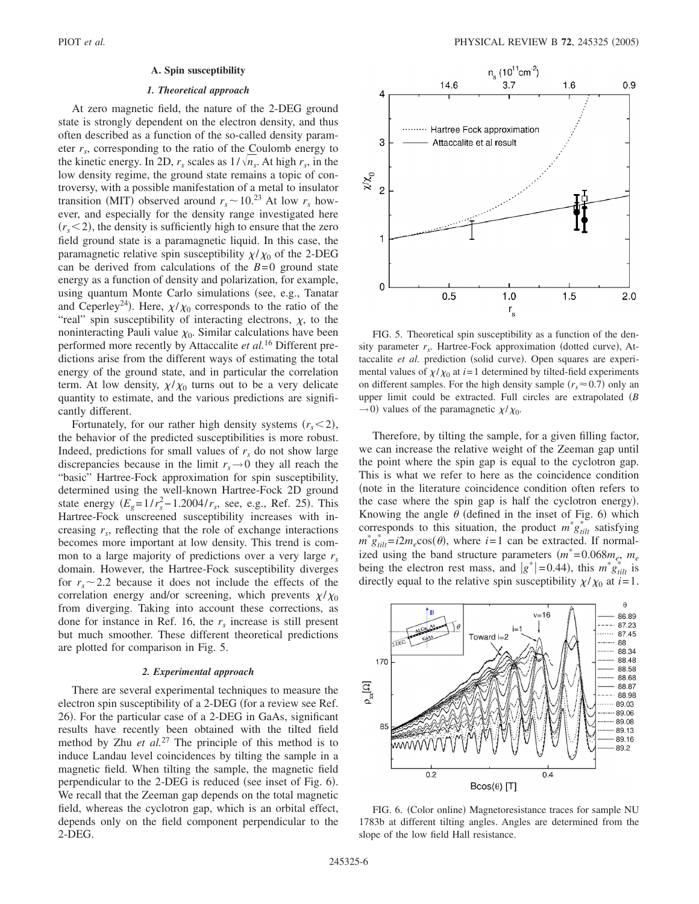## **A. Spin susceptibility**

### *1. Theoretical approach*

At zero magnetic field, the nature of the 2-DEG ground state is strongly dependent on the electron density, and thus often described as a function of the so-called density parameter  $r<sub>s</sub>$ , corresponding to the ratio of the Coulomb energy to the kinetic energy. In 2D,  $r_s$  scales as  $1/\sqrt{n_s}$ . At high  $r_s$ , in the low density regime, the ground state remains a topic of controversy, with a possible manifestation of a metal to insulator transition (MIT) observed around  $r_s \sim 10^{23}$  At low  $r_s$  however, and especially for the density range investigated here  $(r<sub>s</sub>< 2)$ , the density is sufficiently high to ensure that the zero field ground state is a paramagnetic liquid. In this case, the paramagnetic relative spin susceptibility  $\chi/\chi_0$  of the 2-DEG can be derived from calculations of the  $B=0$  ground state energy as a function of density and polarization, for example, using quantum Monte Carlo simulations (see, e.g., Tanatar and Ceperley<sup>24</sup>). Here,  $\chi/\chi_0$  corresponds to the ratio of the "real" spin susceptibility of interacting electrons,  $\chi$ , to the noninteracting Pauli value  $\chi_0$ . Similar calculations have been performed more recently by Attaccalite *et al.*<sup>16</sup> Different predictions arise from the different ways of estimating the total energy of the ground state, and in particular the correlation term. At low density,  $\chi/\chi_0$  turns out to be a very delicate quantity to estimate, and the various predictions are significantly different.

Fortunately, for our rather high density systems  $(r_s < 2)$ , the behavior of the predicted susceptibilities is more robust. Indeed, predictions for small values of  $r<sub>s</sub>$  do not show large discrepancies because in the limit  $r_s \rightarrow 0$  they all reach the "basic" Hartree-Fock approximation for spin susceptibility, determined using the well-known Hartree-Fock 2D ground state energy  $(E_g = 1/r_s^2 - 1.2004/r_s$ , see, e.g., Ref. 25). This Hartree-Fock unscreened susceptibility increases with increasing  $r<sub>s</sub>$ , reflecting that the role of exchange interactions becomes more important at low density. This trend is common to a large majority of predictions over a very large *rs* domain. However, the Hartree-Fock susceptibility diverges for  $r_s \sim 2.2$  because it does not include the effects of the correlation energy and/or screening, which prevents  $\chi/\chi_0$ from diverging. Taking into account these corrections, as done for instance in Ref. 16, the  $r<sub>s</sub>$  increase is still present but much smoother. These different theoretical predictions are plotted for comparison in Fig. 5.

## *2. Experimental approach*

There are several experimental techniques to measure the electron spin susceptibility of a 2-DEG (for a review see Ref. 26). For the particular case of a 2-DEG in GaAs, significant results have recently been obtained with the tilted field method by Zhu *et al.*<sup>27</sup> The principle of this method is to induce Landau level coincidences by tilting the sample in a magnetic field. When tilting the sample, the magnetic field perpendicular to the 2-DEG is reduced (see inset of Fig. 6). We recall that the Zeeman gap depends on the total magnetic field, whereas the cyclotron gap, which is an orbital effect, depends only on the field component perpendicular to the 2-DEG.



FIG. 5. Theoretical spin susceptibility as a function of the density parameter  $r_s$ . Hartree-Fock approximation (dotted curve), Attaccalite et al. prediction (solid curve). Open squares are experimental values of  $\chi/\chi_0$  at *i*=1 determined by tilted-field experiments on different samples. For the high density sample  $(r_s \approx 0.7)$  only an upper limit could be extracted. Full circles are extrapolated *B*  $\rightarrow$  0) values of the paramagnetic  $\chi/\chi_0$ .

Therefore, by tilting the sample, for a given filling factor, we can increase the relative weight of the Zeeman gap until the point where the spin gap is equal to the cyclotron gap. This is what we refer to here as the coincidence condition note in the literature coincidence condition often refers to the case where the spin gap is half the cyclotron energy). Knowing the angle  $\theta$  (defined in the inset of Fig. 6) which corresponds to this situation, the product  $m^*g_{tilt}$  satisfying  $m^* g_{tilt}^* = i2m_e \cos(\theta)$ , where  $i = 1$  can be extracted. If normalized using the band structure parameters  $(m^* = 0.068m_e, m_e)$ being the electron rest mass, and  $|g^*|$  = 0.44), this  $m^*g_{tilt}$  is directly equal to the relative spin susceptibility  $\chi/\chi_0$  at *i*=1.



FIG. 6. (Color online) Magnetoresistance traces for sample NU 1783b at different tilting angles. Angles are determined from the slope of the low field Hall resistance.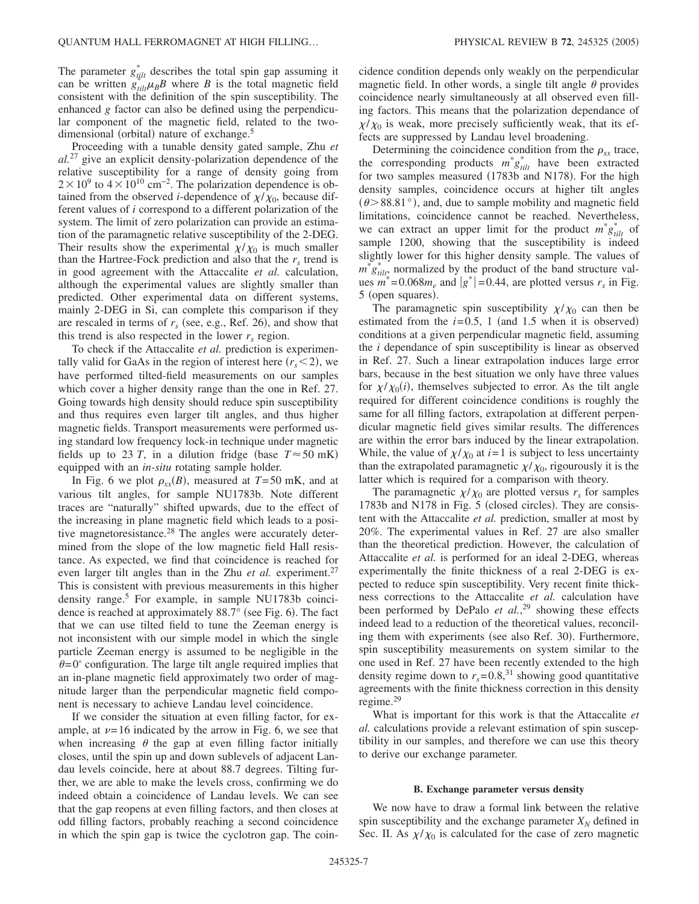The parameter  $g_{ijlt}^*$  describes the total spin gap assuming it can be written  $g_{tilt}^{\mu\nu}$   $\mu_B B$  where *B* is the total magnetic field consistent with the definition of the spin susceptibility. The enhanced *g* factor can also be defined using the perpendicular component of the magnetic field, related to the twodimensional (orbital) nature of exchange.<sup>5</sup>

Proceeding with a tunable density gated sample, Zhu *et al.*<sup>27</sup> give an explicit density-polarization dependence of the relative susceptibility for a range of density going from  $2 \times 10^9$  to  $4 \times 10^{10}$  cm<sup>-2</sup>. The polarization dependence is obtained from the observed *i*-dependence of  $\chi/\chi_0$ , because different values of *i* correspond to a different polarization of the system. The limit of zero polarization can provide an estimation of the paramagnetic relative susceptibility of the 2-DEG. Their results show the experimental  $\chi/\chi_0$  is much smaller than the Hartree-Fock prediction and also that the  $r<sub>s</sub>$  trend is in good agreement with the Attaccalite *et al.* calculation, although the experimental values are slightly smaller than predicted. Other experimental data on different systems, mainly 2-DEG in Si, can complete this comparison if they are rescaled in terms of  $r<sub>s</sub>$  (see, e.g., Ref. 26), and show that this trend is also respected in the lower  $r<sub>s</sub>$  region.

To check if the Attaccalite *et al.* prediction is experimentally valid for GaAs in the region of interest here  $(r_s < 2)$ , we have performed tilted-field measurements on our samples which cover a higher density range than the one in Ref. 27. Going towards high density should reduce spin susceptibility and thus requires even larger tilt angles, and thus higher magnetic fields. Transport measurements were performed using standard low frequency lock-in technique under magnetic fields up to 23 *T*, in a dilution fridge (base  $T \approx 50$  mK) equipped with an *in-situ* rotating sample holder.

In Fig. 6 we plot  $\rho_{xx}(B)$ , measured at  $T=50$  mK, and at various tilt angles, for sample NU1783b. Note different traces are "naturally" shifted upwards, due to the effect of the increasing in plane magnetic field which leads to a positive magnetoresistance.<sup>28</sup> The angles were accurately determined from the slope of the low magnetic field Hall resistance. As expected, we find that coincidence is reached for even larger tilt angles than in the Zhu *et al.* experiment.<sup>27</sup> This is consistent with previous measurements in this higher density range.<sup>5</sup> For example, in sample NU1783b coincidence is reached at approximately  $88.7^\circ$  (see Fig. 6). The fact that we can use tilted field to tune the Zeeman energy is not inconsistent with our simple model in which the single particle Zeeman energy is assumed to be negligible in the  $\theta$ =0 $^{\circ}$  configuration. The large tilt angle required implies that an in-plane magnetic field approximately two order of magnitude larger than the perpendicular magnetic field component is necessary to achieve Landau level coincidence.

If we consider the situation at even filling factor, for example, at  $\nu=16$  indicated by the arrow in Fig. 6, we see that when increasing  $\theta$  the gap at even filling factor initially closes, until the spin up and down sublevels of adjacent Landau levels coincide, here at about 88.7 degrees. Tilting further, we are able to make the levels cross, confirming we do indeed obtain a coincidence of Landau levels. We can see that the gap reopens at even filling factors, and then closes at odd filling factors, probably reaching a second coincidence in which the spin gap is twice the cyclotron gap. The coincidence condition depends only weakly on the perpendicular magnetic field. In other words, a single tilt angle  $\theta$  provides coincidence nearly simultaneously at all observed even filling factors. This means that the polarization dependance of  $\chi/\chi_0$  is weak, more precisely sufficiently weak, that its effects are suppressed by Landau level broadening.

Determining the coincidence condition from the  $\rho_{xx}$  trace, the corresponding products  $m^* g_{tilt}^*$  have been extracted for two samples measured (1783b and N178). For the high density samples, coincidence occurs at higher tilt angles  $(\theta > 88.81^{\circ})$ , and, due to sample mobility and magnetic field limitations, coincidence cannot be reached. Nevertheless, we can extract an upper limit for the product  $m^* g_{tilt}^*$  of sample 1200, showing that the susceptibility is indeed slightly lower for this higher density sample. The values of  $m^* g_{tilt}^*$  normalized by the product of the band structure values  $m^*$  = 0.068 $m_e$  and  $|g^*|$  = 0.44, are plotted versus  $r_s$  in Fig. 5 (open squares).

The paramagnetic spin susceptibility  $\chi/\chi_0$  can then be estimated from the  $i=0.5$ , 1 (and 1.5 when it is observed) conditions at a given perpendicular magnetic field, assuming the *i* dependance of spin susceptibility is linear as observed in Ref. 27. Such a linear extrapolation induces large error bars, because in the best situation we only have three values for  $\chi/\chi_0(i)$ , themselves subjected to error. As the tilt angle required for different coincidence conditions is roughly the same for all filling factors, extrapolation at different perpendicular magnetic field gives similar results. The differences are within the error bars induced by the linear extrapolation. While, the value of  $\chi/\chi_0$  at *i*=1 is subject to less uncertainty than the extrapolated paramagnetic  $\chi/\chi_0$ , rigourously it is the latter which is required for a comparison with theory.

The paramagnetic  $\chi/\chi_0$  are plotted versus  $r_s$  for samples 1783b and N178 in Fig. 5 (closed circles). They are consistent with the Attaccalite *et al.* prediction, smaller at most by 20%. The experimental values in Ref. 27 are also smaller than the theoretical prediction. However, the calculation of Attaccalite *et al.* is performed for an ideal 2-DEG, whereas experimentally the finite thickness of a real 2-DEG is expected to reduce spin susceptibility. Very recent finite thickness corrections to the Attaccalite *et al.* calculation have been performed by DePalo *et al.*, <sup>29</sup> showing these effects indeed lead to a reduction of the theoretical values, reconciling them with experiments (see also Ref. 30). Furthermore, spin susceptibility measurements on system similar to the one used in Ref. 27 have been recently extended to the high density regime down to  $r_s = 0.8$ ,<sup>31</sup> showing good quantitative agreements with the finite thickness correction in this density regime.29

What is important for this work is that the Attaccalite *et al.* calculations provide a relevant estimation of spin susceptibility in our samples, and therefore we can use this theory to derive our exchange parameter.

### **B. Exchange parameter versus density**

We now have to draw a formal link between the relative spin susceptibility and the exchange parameter  $X_N$  defined in Sec. II. As  $\chi/\chi_0$  is calculated for the case of zero magnetic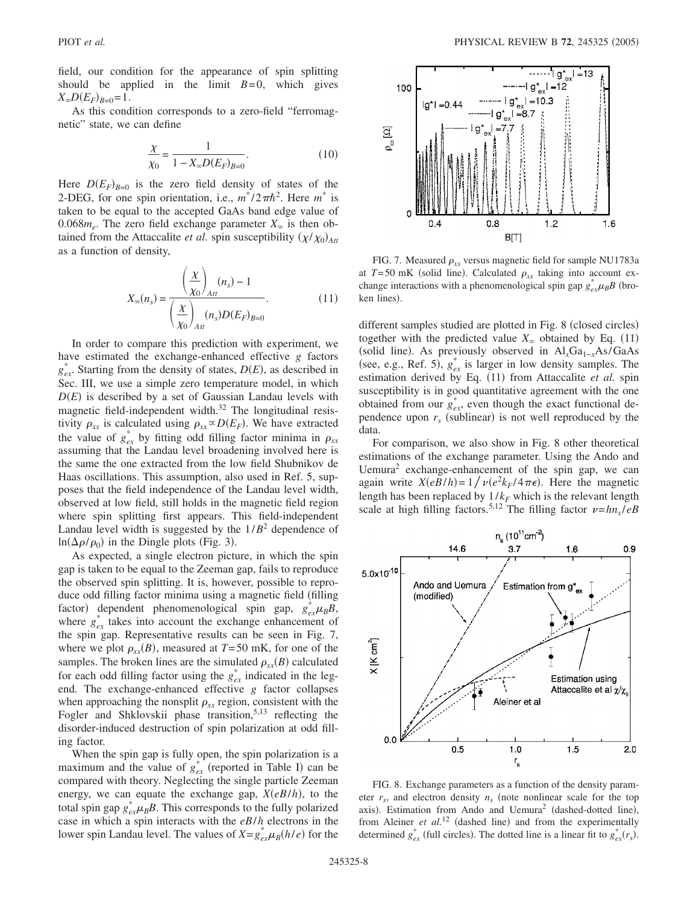field, our condition for the appearance of spin splitting should be applied in the limit  $B=0$ , which gives  $X_{\infty}D(E_F)_{B=0}=1$ .

As this condition corresponds to a zero-field "ferromagnetic" state, we can define

$$
\frac{\chi}{\chi_0} = \frac{1}{1 - X_{\infty} D(E_F)_{B=0}}.
$$
\n(10)

Here  $D(E_F)_{B=0}$  is the zero field density of states of the 2-DEG, for one spin orientation, i.e.,  $m^*/2\pi\hbar^2$ . Here  $m^*$  is taken to be equal to the accepted GaAs band edge value of 0.068 $m_e$ . The zero field exchange parameter  $X_\infty$  is then obtained from the Attaccalite *et al.* spin susceptibility  $(\chi/\chi_0)_{\text{Att}}$ as a function of density,

$$
X_{\infty}(n_s) = \frac{\left(\frac{X}{X_0}\right)_{Att}}{\left(\frac{X}{X_0}\right)_{Att}}.
$$
\n(11)

In order to compare this prediction with experiment, we have estimated the exchange-enhanced effective *g* factors  $g_{ex}^*$ . Starting from the density of states,  $D(E)$ , as described in Sec. III, we use a simple zero temperature model, in which  $D(E)$  is described by a set of Gaussian Landau levels with magnetic field-independent width.<sup>32</sup> The longitudinal resistivity  $\rho_{xx}$  is calculated using  $\rho_{xx} \propto D(E_F)$ . We have extracted the value of  $g_{ex}^*$  by fitting odd filling factor minima in  $\rho_{xx}$ assuming that the Landau level broadening involved here is the same the one extracted from the low field Shubnikov de Haas oscillations. This assumption, also used in Ref. 5, supposes that the field independence of the Landau level width, observed at low field, still holds in the magnetic field region where spin splitting first appears. This field-independent Landau level width is suggested by the  $1/B^2$  dependence of  $\ln(\Delta \rho / \rho_0)$  in the Dingle plots (Fig. 3).

As expected, a single electron picture, in which the spin gap is taken to be equal to the Zeeman gap, fails to reproduce the observed spin splitting. It is, however, possible to reproduce odd filling factor minima using a magnetic field (filling factor) dependent phenomenological spin gap,  $g_{ex}^{*}\mu_{B}B$ , where  $g_{ex}^*$  takes into account the exchange enhancement of the spin gap. Representative results can be seen in Fig. 7, where we plot  $\rho_{xx}(B)$ , measured at  $T = 50$  mK, for one of the samples. The broken lines are the simulated  $\rho_{xx}(B)$  calculated for each odd filling factor using the  $g_{ex}^*$  indicated in the legend. The exchange-enhanced effective *g* factor collapses when approaching the nonsplit  $\rho_{xx}$  region, consistent with the Fogler and Shklovskii phase transition,<sup>5,13</sup> reflecting the disorder-induced destruction of spin polarization at odd filling factor.

When the spin gap is fully open, the spin polarization is a maximum and the value of  $g_{ex}^*$  (reported in Table I) can be compared with theory. Neglecting the single particle Zeeman energy, we can equate the exchange gap,  $X(eB/h)$ , to the total spin gap  $g_{ex}^* \mu_B B$ . This corresponds to the fully polarized case in which a spin interacts with the *eB*/*h* electrons in the lower spin Landau level. The values of  $X = g_{ex}^{*} \mu_B(h/e)$  for the



FIG. 7. Measured  $\rho_{xx}$  versus magnetic field for sample NU1783a at  $T=50$  mK (solid line). Calculated  $\rho_{xx}$  taking into account exchange interactions with a phenomenological spin gap  $g_{ex}^{*}\mu_{B}B$  (broken lines).

different samples studied are plotted in Fig. 8 (closed circles) together with the predicted value  $X_{\infty}$  obtained by Eq. (11) (solid line). As previously observed in Al<sub>*x*</sub>Ga<sub>1−*x*</sub>As/GaAs (see, e.g., Ref. 5),  $g_{ex}^{*}$  is larger in low density samples. The estimation derived by Eq. (11) from Attaccalite et al. spin susceptibility is in good quantitative agreement with the one obtained from our  $g_{ex}^*$ , even though the exact functional dependence upon  $r<sub>s</sub>$  (sublinear) is not well reproduced by the data.

For comparison, we also show in Fig. 8 other theoretical estimations of the exchange parameter. Using the Ando and Uemura<sup>2</sup> exchange-enhancement of the spin gap, we can again write  $X(eB/h) = 1 / \nu(e^2 k_F/4\pi\epsilon)$ . Here the magnetic length has been replaced by  $1/k<sub>F</sub>$  which is the relevant length scale at high filling factors.<sup>5,12</sup> The filling factor  $\nu = hn_s/eB$ 



FIG. 8. Exchange parameters as a function of the density parameter  $r_s$ , and electron density  $n_s$  (note nonlinear scale for the top axis). Estimation from Ando and Uemura<sup>2</sup> (dashed-dotted line), from Aleiner *et al.*<sup>12</sup> (dashed line) and from the experimentally determined  $g_{ex}^*$  (full circles). The dotted line is a linear fit to  $g_{ex}^*(r_s)$ .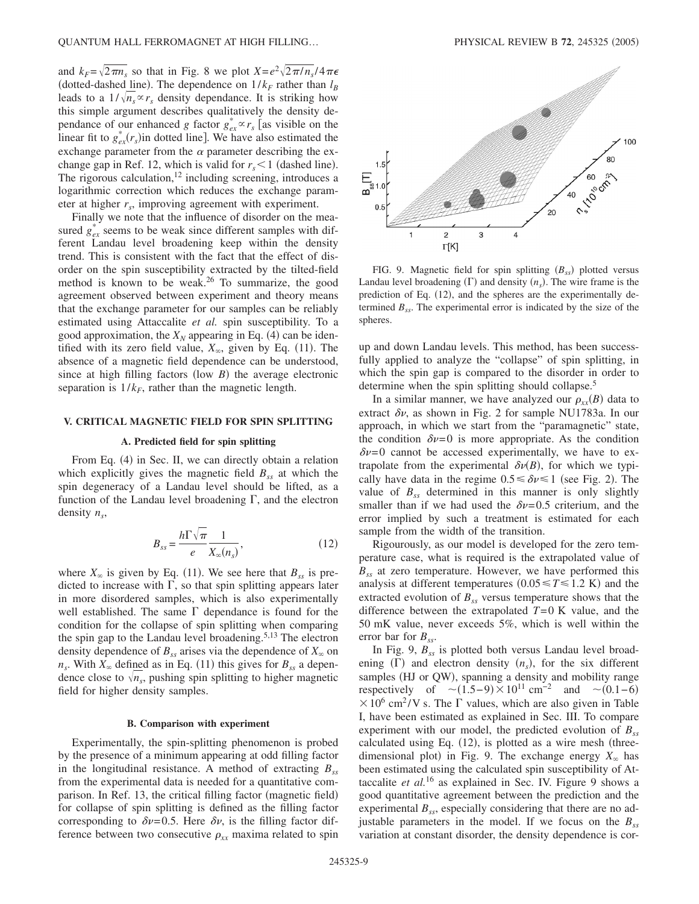and  $k_F = \sqrt{2\pi n_s}$  so that in Fig. 8 we plot  $X = e^2 \sqrt{2\pi/n_s}/4\pi\epsilon$ (dotted-dashed line). The dependence on  $1/k_F$  rather than  $l_B$ leads to a  $1/\sqrt{n_s} \propto r_s$  density dependance. It is striking how this simple argument describes qualitatively the density dependance of our enhanced *g* factor  $g_{ex}^* \propto r_s$  [as visible on the linear fit to  $g_{ex}^*(r_s)$  in dotted line]. We have also estimated the exchange parameter from the  $\alpha$  parameter describing the exchange gap in Ref. 12, which is valid for  $r_s < 1$  (dashed line). The rigorous calculation,  $^{12}$  including screening, introduces a logarithmic correction which reduces the exchange parameter at higher r<sub>s</sub>, improving agreement with experiment.

Finally we note that the influence of disorder on the measured  $g_{ex}^*$  seems to be weak since different samples with different Landau level broadening keep within the density trend. This is consistent with the fact that the effect of disorder on the spin susceptibility extracted by the tilted-field method is known to be weak.26 To summarize, the good agreement observed between experiment and theory means that the exchange parameter for our samples can be reliably estimated using Attaccalite *et al.* spin susceptibility. To a good approximation, the  $X_N$  appearing in Eq. (4) can be identified with its zero field value,  $X_{\infty}$ , given by Eq. (11). The absence of a magnetic field dependence can be understood, since at high filling factors (low  $B$ ) the average electronic separation is  $1/k<sub>F</sub>$ , rather than the magnetic length.

## **V. CRITICAL MAGNETIC FIELD FOR SPIN SPLITTING**

#### **A. Predicted field for spin splitting**

From Eq. (4) in Sec. II, we can directly obtain a relation which explicitly gives the magnetic field  $B_{ss}$  at which the spin degeneracy of a Landau level should be lifted, as a function of the Landau level broadening  $\Gamma$ , and the electron density  $n_s$ ,

$$
B_{ss} = \frac{h\Gamma\sqrt{\pi}}{e} \frac{1}{X_{\infty}(n_s)},
$$
\n(12)

where  $X_{\infty}$  is given by Eq. (11). We see here that  $B_{ss}$  is predicted to increase with  $\Gamma$ , so that spin splitting appears later in more disordered samples, which is also experimentally well established. The same  $\Gamma$  dependance is found for the condition for the collapse of spin splitting when comparing the spin gap to the Landau level broadening.<sup>5,13</sup> The electron density dependence of  $B_{ss}$  arises via the dependence of  $X_{\infty}$  on  $n_s$ . With  $X_\infty$  defined as in Eq. (11) this gives for  $B_{ss}$  a dependence close to  $\sqrt{n_s}$ , pushing spin splitting to higher magnetic field for higher density samples.

#### **B. Comparison with experiment**

Experimentally, the spin-splitting phenomenon is probed by the presence of a minimum appearing at odd filling factor in the longitudinal resistance. A method of extracting  $B_{ss}$ from the experimental data is needed for a quantitative comparison. In Ref. 13, the critical filling factor (magnetic field) for collapse of spin splitting is defined as the filling factor corresponding to  $\delta v = 0.5$ . Here  $\delta v$ , is the filling factor difference between two consecutive  $\rho_{xx}$  maxima related to spin



FIG. 9. Magnetic field for spin splitting  $(B_{ss})$  plotted versus Landau level broadening  $(\Gamma)$  and density  $(n_s)$ . The wire frame is the prediction of Eq. (12), and the spheres are the experimentally determined  $B_{ss}$ . The experimental error is indicated by the size of the spheres.

up and down Landau levels. This method, has been successfully applied to analyze the "collapse" of spin splitting, in which the spin gap is compared to the disorder in order to determine when the spin splitting should collapse.<sup>5</sup>

In a similar manner, we have analyzed our  $\rho_{xx}(B)$  data to extract  $\delta v$ , as shown in Fig. 2 for sample NU1783a. In our approach, in which we start from the "paramagnetic" state, the condition  $\delta v = 0$  is more appropriate. As the condition  $\delta v=0$  cannot be accessed experimentally, we have to extrapolate from the experimental  $\delta v(B)$ , for which we typically have data in the regime  $0.5 \le \delta \nu \le 1$  (see Fig. 2). The value of  $B_{ss}$  determined in this manner is only slightly smaller than if we had used the  $\delta v = 0.5$  criterium, and the error implied by such a treatment is estimated for each sample from the width of the transition.

Rigourously, as our model is developed for the zero temperature case, what is required is the extrapolated value of *Bss* at zero temperature. However, we have performed this analysis at different temperatures  $(0.05 \le T \le 1.2 \text{ K})$  and the extracted evolution of  $B_{ss}$  versus temperature shows that the difference between the extrapolated *T*=0 K value, and the 50 mK value, never exceeds 5%, which is well within the error bar for  $B_{ss}$ .

In Fig. 9,  $B_{ss}$  is plotted both versus Landau level broadening  $(\Gamma)$  and electron density  $(n_s)$ , for the six different samples (HJ or QW), spanning a density and mobility range respectively of  $\sim (1.5-9) \times 10^{11}$  cm<sup>-2</sup> and  $\sim (0.1-6)$  $\times 10^6$  cm<sup>2</sup>/V s. The  $\Gamma$  values, which are also given in Table I, have been estimated as explained in Sec. III. To compare experiment with our model, the predicted evolution of  $B_{ss}$ calculated using Eq. (12), is plotted as a wire mesh (threedimensional plot) in Fig. 9. The exchange energy  $X_\infty$  has been estimated using the calculated spin susceptibility of Attaccalite *et al.*<sup>16</sup> as explained in Sec. IV. Figure 9 shows a good quantitative agreement between the prediction and the experimental  $B_{ss}$ , especially considering that there are no adjustable parameters in the model. If we focus on the  $B_{ss}$ variation at constant disorder, the density dependence is cor-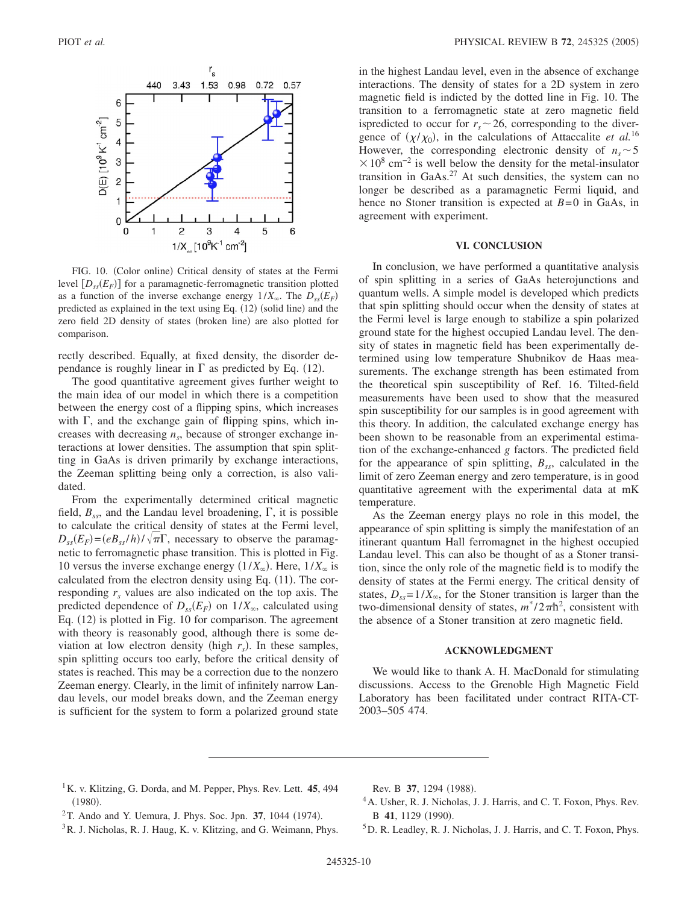

FIG. 10. (Color online) Critical density of states at the Fermi level  $[D_{ss}(E_F)]$  for a paramagnetic-ferromagnetic transition plotted as a function of the inverse exchange energy  $1/X_\infty$ . The  $D_{ss}(E_F)$ predicted as explained in the text using Eq. (12) (solid line) and the zero field 2D density of states (broken line) are also plotted for comparison.

rectly described. Equally, at fixed density, the disorder dependance is roughly linear in  $\Gamma$  as predicted by Eq. (12).

The good quantitative agreement gives further weight to the main idea of our model in which there is a competition between the energy cost of a flipping spins, which increases with  $\Gamma$ , and the exchange gain of flipping spins, which increases with decreasing  $n<sub>s</sub>$ , because of stronger exchange interactions at lower densities. The assumption that spin splitting in GaAs is driven primarily by exchange interactions, the Zeeman splitting being only a correction, is also validated.

From the experimentally determined critical magnetic field,  $B_{ss}$ , and the Landau level broadening,  $\Gamma$ , it is possible to calculate the critical density of states at the Fermi level,  $D_{ss}(E_F) = (eB_{ss}/h)/\sqrt{\pi}\Gamma$ , necessary to observe the paramagnetic to ferromagnetic phase transition. This is plotted in Fig. 10 versus the inverse exchange energy  $(1/X_\infty)$ . Here,  $1/X_\infty$  is calculated from the electron density using Eq. (11). The corresponding  $r<sub>s</sub>$  values are also indicated on the top axis. The predicted dependence of  $D_{ss}(E_F)$  on  $1/X_\infty$ , calculated using Eq. (12) is plotted in Fig. 10 for comparison. The agreement with theory is reasonably good, although there is some deviation at low electron density (high  $r<sub>s</sub>$ ). In these samples, spin splitting occurs too early, before the critical density of states is reached. This may be a correction due to the nonzero Zeeman energy. Clearly, in the limit of infinitely narrow Landau levels, our model breaks down, and the Zeeman energy is sufficient for the system to form a polarized ground state in the highest Landau level, even in the absence of exchange interactions. The density of states for a 2D system in zero magnetic field is indicted by the dotted line in Fig. 10. The transition to a ferromagnetic state at zero magnetic field ispredicted to occur for  $r<sub>s</sub> \sim 26$ , corresponding to the divergence of  $(\chi/\chi_0)$ , in the calculations of Attaccalite *et al.*<sup>16</sup> However, the corresponding electronic density of  $n_s \sim 5$  $\times$  10<sup>8</sup> cm<sup>-2</sup> is well below the density for the metal-insulator transition in GaAs.<sup>27</sup> At such densities, the system can no longer be described as a paramagnetic Fermi liquid, and hence no Stoner transition is expected at *B*=0 in GaAs, in agreement with experiment.

## **VI. CONCLUSION**

In conclusion, we have performed a quantitative analysis of spin splitting in a series of GaAs heterojunctions and quantum wells. A simple model is developed which predicts that spin splitting should occur when the density of states at the Fermi level is large enough to stabilize a spin polarized ground state for the highest occupied Landau level. The density of states in magnetic field has been experimentally determined using low temperature Shubnikov de Haas measurements. The exchange strength has been estimated from the theoretical spin susceptibility of Ref. 16. Tilted-field measurements have been used to show that the measured spin susceptibility for our samples is in good agreement with this theory. In addition, the calculated exchange energy has been shown to be reasonable from an experimental estimation of the exchange-enhanced *g* factors. The predicted field for the appearance of spin splitting,  $B_{ss}$ , calculated in the limit of zero Zeeman energy and zero temperature, is in good quantitative agreement with the experimental data at mK temperature.

As the Zeeman energy plays no role in this model, the appearance of spin splitting is simply the manifestation of an itinerant quantum Hall ferromagnet in the highest occupied Landau level. This can also be thought of as a Stoner transition, since the only role of the magnetic field is to modify the density of states at the Fermi energy. The critical density of states,  $D_{ss} = 1/X_{\infty}$ , for the Stoner transition is larger than the two-dimensional density of states,  $m^*/2\pi\hbar^2$ , consistent with the absence of a Stoner transition at zero magnetic field.

### **ACKNOWLEDGMENT**

We would like to thank A. H. MacDonald for stimulating discussions. Access to the Grenoble High Magnetic Field Laboratory has been facilitated under contract RITA-CT-2003–505 474.

1K. v. Klitzing, G. Dorda, and M. Pepper, Phys. Rev. Lett. **45**, 494  $(1980).$ 

Rev. B 37, 1294 (1988).

 $2$ T. Ando and Y. Uemura, J. Phys. Soc. Jpn. 37, 1044 (1974).

- 4A. Usher, R. J. Nicholas, J. J. Harris, and C. T. Foxon, Phys. Rev. B 41, 1129 (1990).
- 5D. R. Leadley, R. J. Nicholas, J. J. Harris, and C. T. Foxon, Phys.

<sup>&</sup>lt;sup>3</sup>R. J. Nicholas, R. J. Haug, K. v. Klitzing, and G. Weimann, Phys.